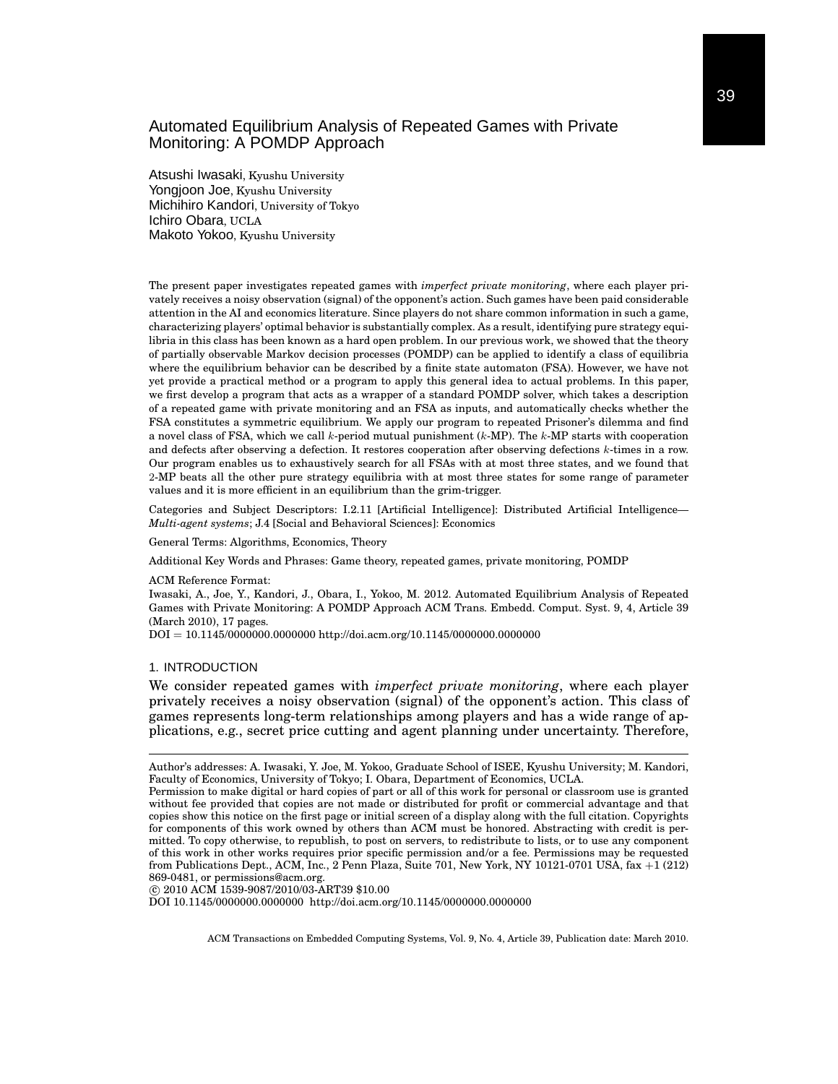Atsushi Iwasaki, Kyushu University Yongjoon Joe, Kyushu University Michihiro Kandori, University of Tokyo Ichiro Obara, UCLA Makoto Yokoo, Kyushu University

The present paper investigates repeated games with *imperfect private monitoring*, where each player privately receives a noisy observation (signal) of the opponent's action. Such games have been paid considerable attention in the AI and economics literature. Since players do not share common information in such a game, characterizing players' optimal behavior is substantially complex. As a result, identifying pure strategy equilibria in this class has been known as a hard open problem. In our previous work, we showed that the theory of partially observable Markov decision processes (POMDP) can be applied to identify a class of equilibria where the equilibrium behavior can be described by a finite state automaton (FSA). However, we have not yet provide a practical method or a program to apply this general idea to actual problems. In this paper, we first develop a program that acts as a wrapper of a standard POMDP solver, which takes a description of a repeated game with private monitoring and an FSA as inputs, and automatically checks whether the FSA constitutes a symmetric equilibrium. We apply our program to repeated Prisoner's dilemma and find a novel class of FSA, which we call *k*-period mutual punishment (*k*-MP). The *k*-MP starts with cooperation and defects after observing a defection. It restores cooperation after observing defections *k*-times in a row. Our program enables us to exhaustively search for all FSAs with at most three states, and we found that 2-MP beats all the other pure strategy equilibria with at most three states for some range of parameter values and it is more efficient in an equilibrium than the grim-trigger.

Categories and Subject Descriptors: I.2.11 [Artificial Intelligence]: Distributed Artificial Intelligence— *Multi-agent systems*; J.4 [Social and Behavioral Sciences]: Economics

General Terms: Algorithms, Economics, Theory

Additional Key Words and Phrases: Game theory, repeated games, private monitoring, POMDP

ACM Reference Format:

Iwasaki, A., Joe, Y., Kandori, J., Obara, I., Yokoo, M. 2012. Automated Equilibrium Analysis of Repeated Games with Private Monitoring: A POMDP Approach ACM Trans. Embedd. Comput. Syst. 9, 4, Article 39 (March 2010), 17 pages.

DOI = 10.1145/0000000.0000000 http://doi.acm.org/10.1145/0000000.0000000

#### 1. INTRODUCTION

We consider repeated games with *imperfect private monitoring*, where each player privately receives a noisy observation (signal) of the opponent's action. This class of games represents long-term relationships among players and has a wide range of applications, e.g., secret price cutting and agent planning under uncertainty. Therefore,

*⃝*c 2010 ACM 1539-9087/2010/03-ART39 \$10.00

DOI 10.1145/0000000.0000000 http://doi.acm.org/10.1145/0000000.0000000

Author's addresses: A. Iwasaki, Y. Joe, M. Yokoo, Graduate School of ISEE, Kyushu University; M. Kandori, Faculty of Economics, University of Tokyo; I. Obara, Department of Economics, UCLA.

Permission to make digital or hard copies of part or all of this work for personal or classroom use is granted without fee provided that copies are not made or distributed for profit or commercial advantage and that copies show this notice on the first page or initial screen of a display along with the full citation. Copyrights for components of this work owned by others than ACM must be honored. Abstracting with credit is permitted. To copy otherwise, to republish, to post on servers, to redistribute to lists, or to use any component of this work in other works requires prior specific permission and/or a fee. Permissions may be requested from Publications Dept., ACM, Inc., 2 Penn Plaza, Suite 701, New York, NY 10121-0701 USA, fax +1 (212) 869-0481, or permissions@acm.org.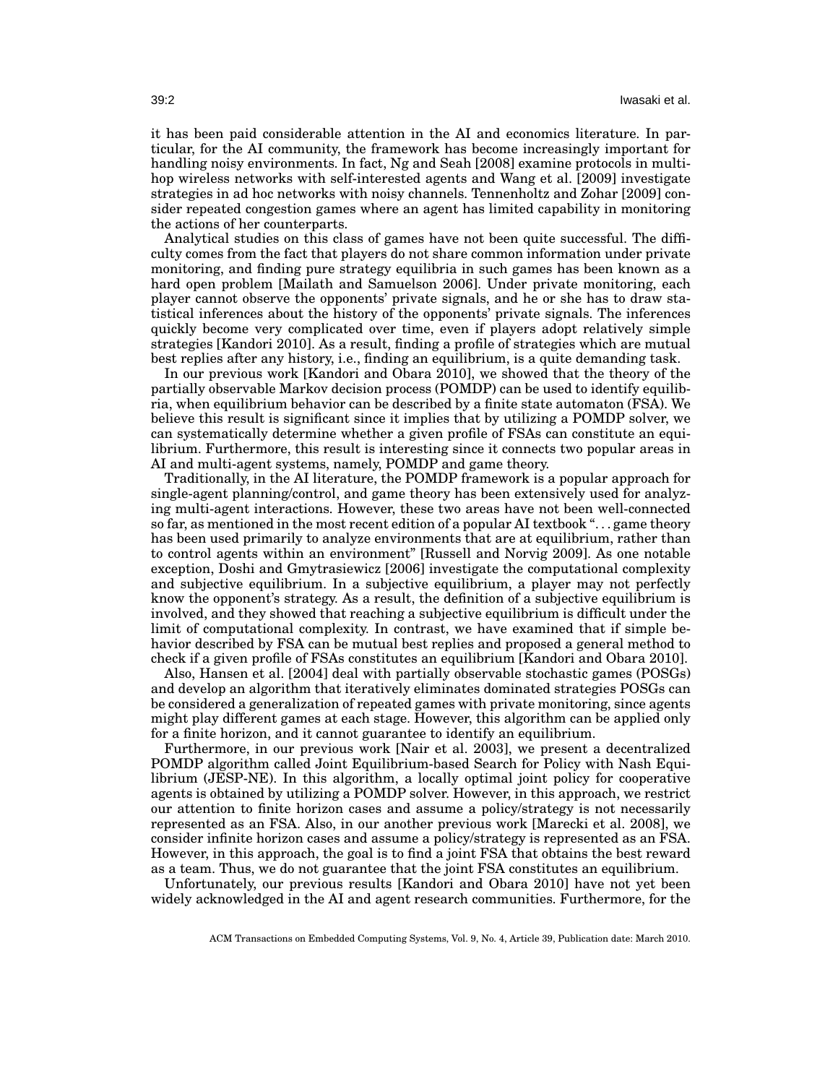it has been paid considerable attention in the AI and economics literature. In particular, for the AI community, the framework has become increasingly important for handling noisy environments. In fact, Ng and Seah [2008] examine protocols in multihop wireless networks with self-interested agents and Wang et al. [2009] investigate strategies in ad hoc networks with noisy channels. Tennenholtz and Zohar [2009] consider repeated congestion games where an agent has limited capability in monitoring the actions of her counterparts.

Analytical studies on this class of games have not been quite successful. The difficulty comes from the fact that players do not share common information under private monitoring, and finding pure strategy equilibria in such games has been known as a hard open problem [Mailath and Samuelson 2006]. Under private monitoring, each player cannot observe the opponents' private signals, and he or she has to draw statistical inferences about the history of the opponents' private signals. The inferences quickly become very complicated over time, even if players adopt relatively simple strategies [Kandori 2010]. As a result, finding a profile of strategies which are mutual best replies after any history, i.e., finding an equilibrium, is a quite demanding task.

In our previous work [Kandori and Obara 2010], we showed that the theory of the partially observable Markov decision process (POMDP) can be used to identify equilibria, when equilibrium behavior can be described by a finite state automaton (FSA). We believe this result is significant since it implies that by utilizing a POMDP solver, we can systematically determine whether a given profile of FSAs can constitute an equilibrium. Furthermore, this result is interesting since it connects two popular areas in AI and multi-agent systems, namely, POMDP and game theory.

Traditionally, in the AI literature, the POMDP framework is a popular approach for single-agent planning/control, and game theory has been extensively used for analyzing multi-agent interactions. However, these two areas have not been well-connected so far, as mentioned in the most recent edition of a popular AI textbook ". . . game theory has been used primarily to analyze environments that are at equilibrium, rather than to control agents within an environment" [Russell and Norvig 2009]. As one notable exception, Doshi and Gmytrasiewicz [2006] investigate the computational complexity and subjective equilibrium. In a subjective equilibrium, a player may not perfectly know the opponent's strategy. As a result, the definition of a subjective equilibrium is involved, and they showed that reaching a subjective equilibrium is difficult under the limit of computational complexity. In contrast, we have examined that if simple behavior described by FSA can be mutual best replies and proposed a general method to check if a given profile of FSAs constitutes an equilibrium [Kandori and Obara 2010].

Also, Hansen et al. [2004] deal with partially observable stochastic games (POSGs) and develop an algorithm that iteratively eliminates dominated strategies POSGs can be considered a generalization of repeated games with private monitoring, since agents might play different games at each stage. However, this algorithm can be applied only for a finite horizon, and it cannot guarantee to identify an equilibrium.

Furthermore, in our previous work [Nair et al. 2003], we present a decentralized POMDP algorithm called Joint Equilibrium-based Search for Policy with Nash Equilibrium (JESP-NE). In this algorithm, a locally optimal joint policy for cooperative agents is obtained by utilizing a POMDP solver. However, in this approach, we restrict our attention to finite horizon cases and assume a policy/strategy is not necessarily represented as an FSA. Also, in our another previous work [Marecki et al. 2008], we consider infinite horizon cases and assume a policy/strategy is represented as an FSA. However, in this approach, the goal is to find a joint FSA that obtains the best reward as a team. Thus, we do not guarantee that the joint FSA constitutes an equilibrium.

Unfortunately, our previous results [Kandori and Obara 2010] have not yet been widely acknowledged in the AI and agent research communities. Furthermore, for the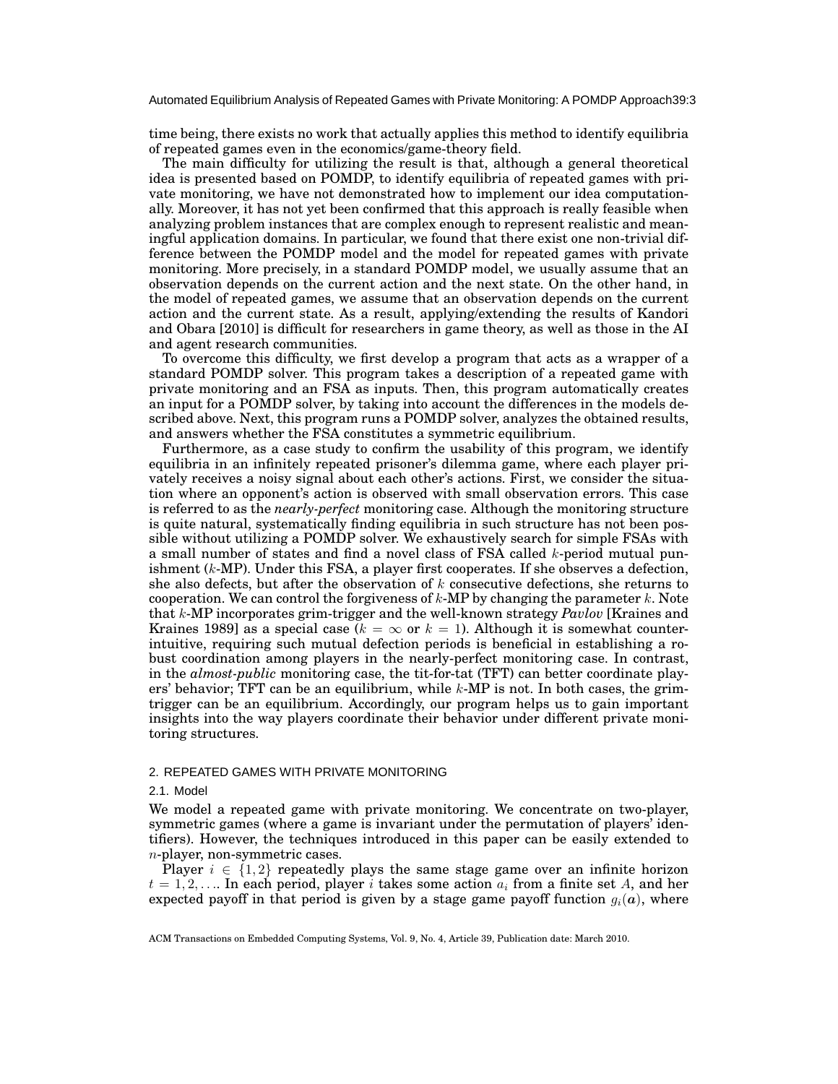time being, there exists no work that actually applies this method to identify equilibria of repeated games even in the economics/game-theory field.

The main difficulty for utilizing the result is that, although a general theoretical idea is presented based on POMDP, to identify equilibria of repeated games with private monitoring, we have not demonstrated how to implement our idea computationally. Moreover, it has not yet been confirmed that this approach is really feasible when analyzing problem instances that are complex enough to represent realistic and meaningful application domains. In particular, we found that there exist one non-trivial difference between the POMDP model and the model for repeated games with private monitoring. More precisely, in a standard POMDP model, we usually assume that an observation depends on the current action and the next state. On the other hand, in the model of repeated games, we assume that an observation depends on the current action and the current state. As a result, applying/extending the results of Kandori and Obara [2010] is difficult for researchers in game theory, as well as those in the AI and agent research communities.

To overcome this difficulty, we first develop a program that acts as a wrapper of a standard POMDP solver. This program takes a description of a repeated game with private monitoring and an FSA as inputs. Then, this program automatically creates an input for a POMDP solver, by taking into account the differences in the models described above. Next, this program runs a POMDP solver, analyzes the obtained results, and answers whether the FSA constitutes a symmetric equilibrium.

Furthermore, as a case study to confirm the usability of this program, we identify equilibria in an infinitely repeated prisoner's dilemma game, where each player privately receives a noisy signal about each other's actions. First, we consider the situation where an opponent's action is observed with small observation errors. This case is referred to as the *nearly-perfect* monitoring case. Although the monitoring structure is quite natural, systematically finding equilibria in such structure has not been possible without utilizing a POMDP solver. We exhaustively search for simple FSAs with a small number of states and find a novel class of FSA called *k*-period mutual punishment (*k*-MP). Under this FSA, a player first cooperates. If she observes a defection, she also defects, but after the observation of *k* consecutive defections, she returns to cooperation. We can control the forgiveness of *k*-MP by changing the parameter *k*. Note that *k*-MP incorporates grim-trigger and the well-known strategy *Pavlov* [Kraines and Kraines 1989] as a special case ( $k = \infty$  or  $k = 1$ ). Although it is somewhat counterintuitive, requiring such mutual defection periods is beneficial in establishing a robust coordination among players in the nearly-perfect monitoring case. In contrast, in the *almost-public* monitoring case, the tit-for-tat (TFT) can better coordinate players' behavior; TFT can be an equilibrium, while *k*-MP is not. In both cases, the grimtrigger can be an equilibrium. Accordingly, our program helps us to gain important insights into the way players coordinate their behavior under different private monitoring structures.

### 2. REPEATED GAMES WITH PRIVATE MONITORING

# 2.1. Model

We model a repeated game with private monitoring. We concentrate on two-player, symmetric games (where a game is invariant under the permutation of players' identifiers). However, the techniques introduced in this paper can be easily extended to *n*-player, non-symmetric cases.

Player  $i \in \{1,2\}$  repeatedly plays the same stage game over an infinite horizon  $t = 1, 2, \ldots$  In each period, player *i* takes some action  $a_i$  from a finite set *A*, and her expected payoff in that period is given by a stage game payoff function  $q_i(a)$ , where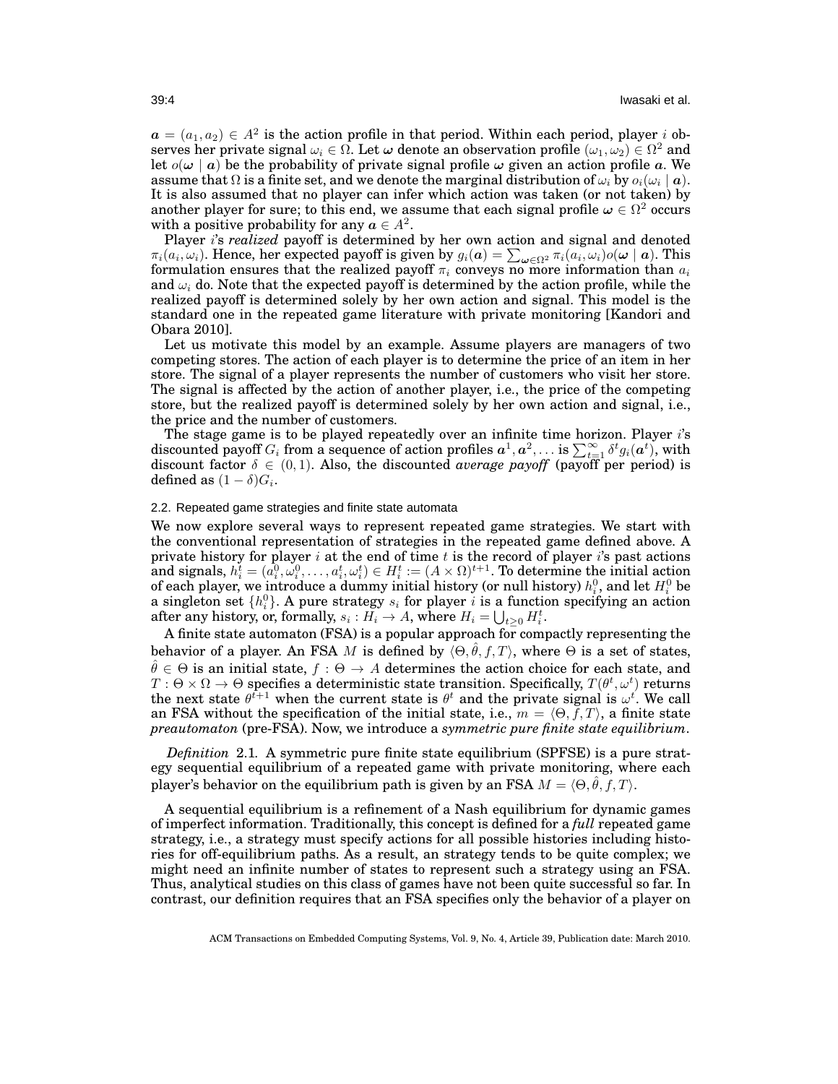$a = (a_1, a_2) \in A^2$  is the action profile in that period. Within each period, player *i* ob $s$ erves her private signal  $\omega_i \in \Omega$ . Let  $\omega$  denote an observation profile  $(\omega_1, \omega_2) \in \Omega^2$  and let  $o(\omega | a)$  be the probability of private signal profile  $\omega$  given an action profile *a*. We assume that  $\Omega$  is a finite set, and we denote the marginal distribution of  $\omega_i$  by  $o_i(\omega_i \mid \bm{a})$ . It is also assumed that no player can infer which action was taken (or not taken) by another player for sure; to this end, we assume that each signal profile  $\pmb{\omega} \in \Omega^2$  occurs with a positive probability for any  $a \in A^2$ .

Player *i*'s *realized* payoff is determined by her own action and signal and denoted  $\pi_i(a_i,\omega_i)$ . Hence, her expected payoff is given by  $g_i(\mathbf{a}) = \sum_{\omega \in \Omega^2} \pi_i(a_i,\omega_i) o(\omega \mid \mathbf{a})$ . This formulation ensures that the realized payoff  $\pi_i$  conveys no more information than  $a_i$ and  $\omega_i$  do. Note that the expected payoff is determined by the action profile, while the realized payoff is determined solely by her own action and signal. This model is the standard one in the repeated game literature with private monitoring [Kandori and Obara 2010].

Let us motivate this model by an example. Assume players are managers of two competing stores. The action of each player is to determine the price of an item in her store. The signal of a player represents the number of customers who visit her store. The signal is affected by the action of another player, i.e., the price of the competing store, but the realized payoff is determined solely by her own action and signal, i.e., the price and the number of customers.

The stage game is to be played repeatedly over an infinite time horizon. Player *i*'s discounted payoff  $G_i$  from a sequence of action profiles  $a^1, a^2, \ldots$  is  $\sum_{t=1}^{\infty} \delta^t g_i(a^t)$ , with discount factor  $\delta \in (0,1)$ . Also, the discounted *average payoff* (payoff per period) is defined as  $(1 - \delta)G_i$ .

# 2.2. Repeated game strategies and finite state automata

We now explore several ways to represent repeated game strategies. We start with the conventional representation of strategies in the repeated game defined above. A private history for player *i* at the end of time *t* is the record of player *i*'s past actions  $\text{and signals},\,h_i^t=(a_i^0,\omega_i^0,\ldots,a_i^t,\omega_i^t)\in H_i^t:=(A\times\Omega)^{t+1}. \text{ To determine the initial action }$ of each player, we introduce a dummy initial history (or null history)  $h_i^0$ , and let  $H_i^0$  be a singleton set  $\{h_i^0\}$ . A pure strategy  $s_i$  for player *i* is a function specifying an action after any history, or, formally,  $s_i : H_i \to A$ , where  $H_i = \bigcup_{t \geq 0} H_i^t$ .

A finite state automaton (FSA) is a popular approach for compactly representing the behavior of a player. An FSA *M* is defined by  $\langle \Theta, \hat{\theta}, f, T \rangle$ , where  $\Theta$  is a set of states,  $\hat{\theta} \in \Theta$  is an initial state,  $f : \Theta \to A$  determines the action choice for each state, and  $T: \Theta \times \Omega \to \Theta$  specifies a deterministic state transition. Specifically,  $T(\theta^t, \omega^t)$  returns the next state  $\theta^{t+1}$  when the current state is  $\theta^t$  and the private signal is  $\omega^t$ . We call an FSA without the specification of the initial state, i.e.,  $m = \langle \Theta, f, T \rangle$ , a finite state *preautomaton* (pre-FSA). Now, we introduce a *symmetric pure finite state equilibrium*.

*Definition* 2.1*.* A symmetric pure finite state equilibrium (SPFSE) is a pure strategy sequential equilibrium of a repeated game with private monitoring, where each player's behavior on the equilibrium path is given by an FSA  $M = \langle \Theta, \hat{\theta}, f, T \rangle$ .

A sequential equilibrium is a refinement of a Nash equilibrium for dynamic games of imperfect information. Traditionally, this concept is defined for a *full* repeated game strategy, i.e., a strategy must specify actions for all possible histories including histories for off-equilibrium paths. As a result, an strategy tends to be quite complex; we might need an infinite number of states to represent such a strategy using an FSA. Thus, analytical studies on this class of games have not been quite successful so far. In contrast, our definition requires that an FSA specifies only the behavior of a player on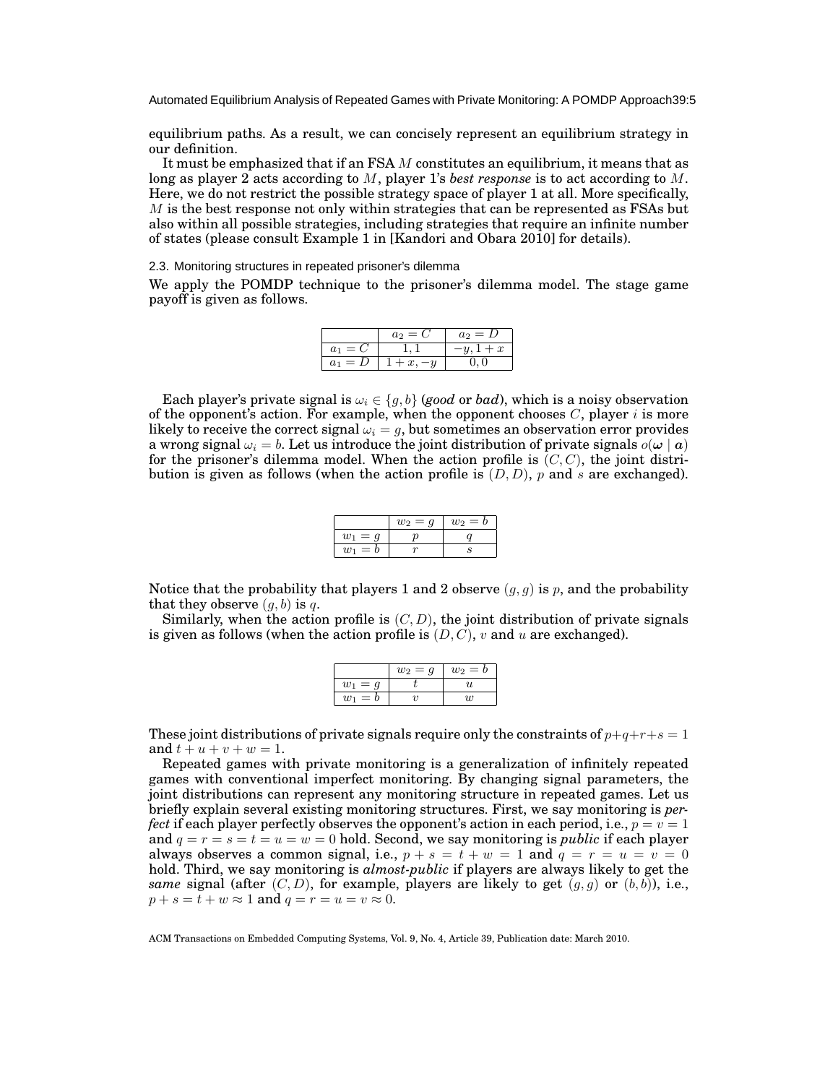equilibrium paths. As a result, we can concisely represent an equilibrium strategy in our definition.

It must be emphasized that if an FSA *M* constitutes an equilibrium, it means that as long as player 2 acts according to *M*, player 1's *best response* is to act according to *M*. Here, we do not restrict the possible strategy space of player 1 at all. More specifically, *M* is the best response not only within strategies that can be represented as FSAs but also within all possible strategies, including strategies that require an infinite number of states (please consult Example 1 in [Kandori and Obara 2010] for details).

#### 2.3. Monitoring structures in repeated prisoner's dilemma

We apply the POMDP technique to the prisoner's dilemma model. The stage game payoff is given as follows.

|                         | $a_2 = C$      | $a_2 = D$        |
|-------------------------|----------------|------------------|
| $=$ $\sigma$<br>$a_1$   |                | $\boldsymbol{x}$ |
| $= D$<br>a <sub>1</sub> | . <del>.</del> |                  |

Each player's private signal is  $\omega_i \in \{g, b\}$  (good or *bad*), which is a noisy observation of the opponent's action. For example, when the opponent chooses  $C$ , player  $i$  is more likely to receive the correct signal  $\omega_i = g$ , but sometimes an observation error provides a wrong signal  $\omega_i = b$ . Let us introduce the joint distribution of private signals  $o(\omega \mid a)$ for the prisoner's dilemma model. When the action profile is  $(C, C)$ , the joint distribution is given as follows (when the action profile is (*D, D*), *p* and *s* are exchanged).

|           | $w_2 = q$ | $w_2 = b$ |
|-----------|-----------|-----------|
| $w_1 = q$ |           |           |
| $w_1 = b$ |           |           |

Notice that the probability that players 1 and 2 observe  $(g, g)$  is  $p$ , and the probability that they observe  $(q, b)$  is  $q$ .

Similarly, when the action profile is  $(C, D)$ , the joint distribution of private signals is given as follows (when the action profile is (*D, C*), *v* and *u* are exchanged).

|                | $w_2 = q$ | $w_2 = b$ |
|----------------|-----------|-----------|
| $= q$<br>$w_1$ |           | 11        |
| $= b$<br>$w_1$ |           | 11)       |

These joint distributions of private signals require only the constraints of  $p+q+r+s=1$ and  $t + u + v + w = 1$ .

Repeated games with private monitoring is a generalization of infinitely repeated games with conventional imperfect monitoring. By changing signal parameters, the joint distributions can represent any monitoring structure in repeated games. Let us briefly explain several existing monitoring structures. First, we say monitoring is *perfect* if each player perfectly observes the opponent's action in each period, i.e.,  $p = v = 1$ and  $q = r = s = t = u = w = 0$  hold. Second, we say monitoring is *public* if each player always observes a common signal, i.e.,  $p + s = t + w = 1$  and  $q = r = u = v = 0$ hold. Third, we say monitoring is *almost-public* if players are always likely to get the *same* signal (after  $(C, D)$ , for example, players are likely to get  $(g, g)$  or  $(b, b)$ ), i.e.,  $p + s = t + w \approx 1$  and  $q = r = u = v \approx 0$ .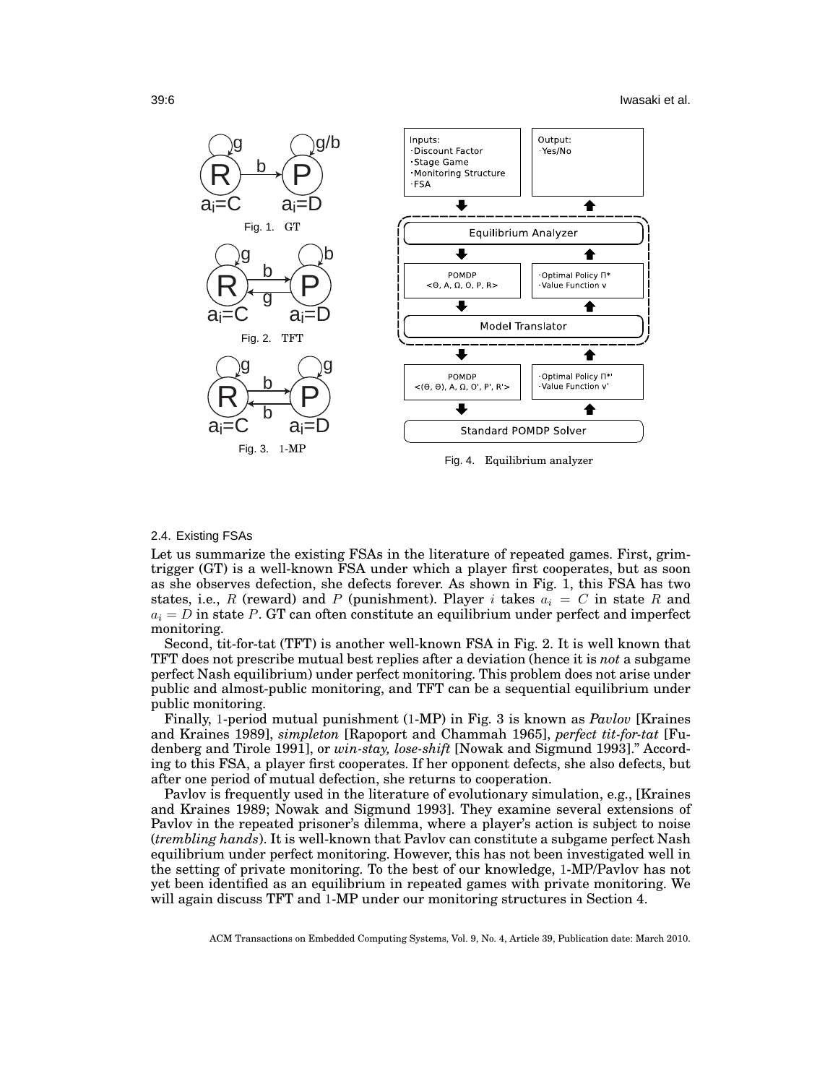

#### 2.4. Existing FSAs

Let us summarize the existing FSAs in the literature of repeated games. First, grimtrigger (GT) is a well-known FSA under which a player first cooperates, but as soon as she observes defection, she defects forever. As shown in Fig. 1, this FSA has two states, i.e., *R* (reward) and *P* (punishment). Player *i* takes  $a_i = C$  in state *R* and  $a_i = D$  in state P. GT can often constitute an equilibrium under perfect and imperfect monitoring.

Second, tit-for-tat (TFT) is another well-known FSA in Fig. 2. It is well known that TFT does not prescribe mutual best replies after a deviation (hence it is *not* a subgame perfect Nash equilibrium) under perfect monitoring. This problem does not arise under public and almost-public monitoring, and TFT can be a sequential equilibrium under public monitoring.

Finally, 1-period mutual punishment (1-MP) in Fig. 3 is known as *Pavlov* [Kraines and Kraines 1989], *simpleton* [Rapoport and Chammah 1965], *perfect tit-for-tat* [Fudenberg and Tirole 1991], or *win-stay, lose-shift* [Nowak and Sigmund 1993]." According to this FSA, a player first cooperates. If her opponent defects, she also defects, but after one period of mutual defection, she returns to cooperation.

Pavlov is frequently used in the literature of evolutionary simulation, e.g., [Kraines and Kraines 1989; Nowak and Sigmund 1993]. They examine several extensions of Pavlov in the repeated prisoner's dilemma, where a player's action is subject to noise (*trembling hands*). It is well-known that Pavlov can constitute a subgame perfect Nash equilibrium under perfect monitoring. However, this has not been investigated well in the setting of private monitoring. To the best of our knowledge, 1-MP/Pavlov has not yet been identified as an equilibrium in repeated games with private monitoring. We will again discuss TFT and 1-MP under our monitoring structures in Section 4.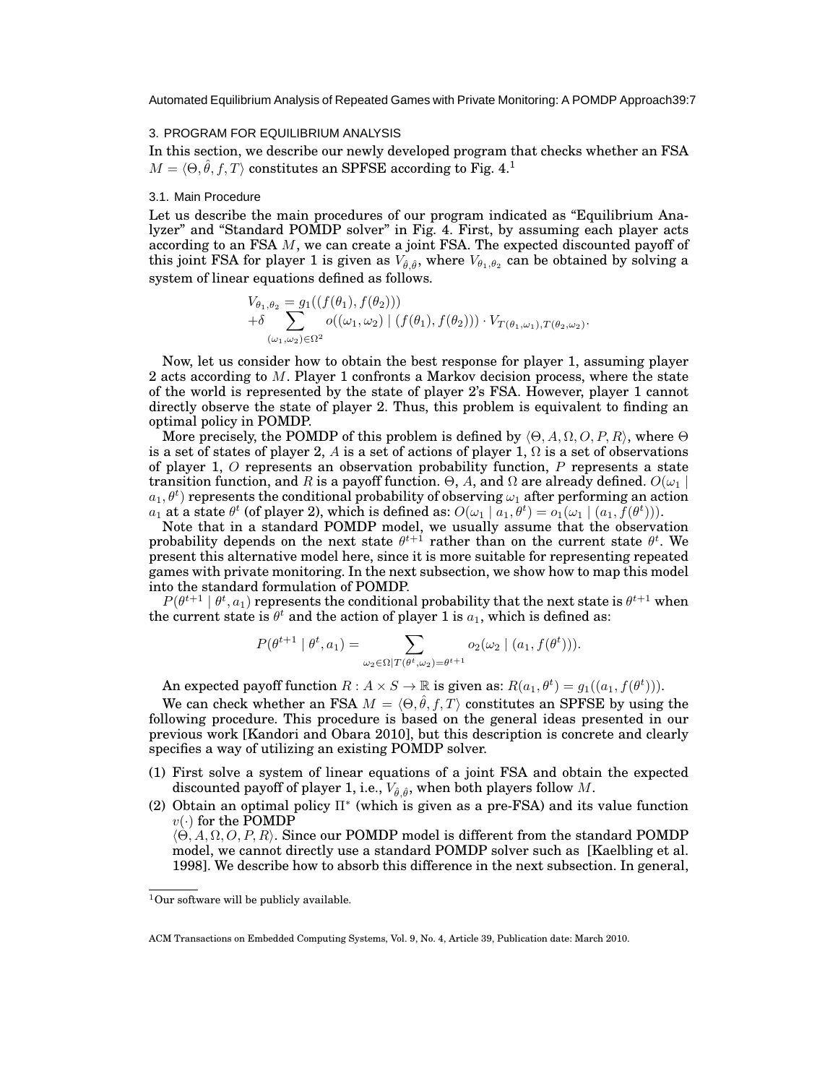#### 3. PROGRAM FOR EQUILIBRIUM ANALYSIS

In this section, we describe our newly developed program that checks whether an FSA  $M = \langle \Theta, \hat{\theta}, f, T \rangle$  constitutes an SPFSE according to Fig. 4.<sup>1</sup>

## 3.1. Main Procedure

Let us describe the main procedures of our program indicated as "Equilibrium Analyzer" and "Standard POMDP solver" in Fig. 4. First, by assuming each player acts according to an FSA *M*, we can create a joint FSA. The expected discounted payoff of this joint FSA for player 1 is given as  $V_{\hat{\theta}, \hat{\theta}},$  where  $V_{\theta_1, \theta_2}$  can be obtained by solving a system of linear equations defined as follows.

$$
V_{\theta_1, \theta_2} = g_1((f(\theta_1), f(\theta_2))) + \delta \sum_{(\omega_1, \omega_2) \in \Omega^2} o((\omega_1, \omega_2) | (f(\theta_1), f(\theta_2))) \cdot V_{T(\theta_1, \omega_1), T(\theta_2, \omega_2)}.
$$

Now, let us consider how to obtain the best response for player 1, assuming player 2 acts according to *M*. Player 1 confronts a Markov decision process, where the state of the world is represented by the state of player 2's FSA. However, player 1 cannot directly observe the state of player 2. Thus, this problem is equivalent to finding an optimal policy in POMDP.

More precisely, the POMDP of this problem is defined by *⟨*Θ*, A,* Ω*, O, P, R⟩*, where Θ is a set of states of player 2, *A* is a set of actions of player 1,  $\Omega$  is a set of observations of player 1, *O* represents an observation probability function, *P* represents a state transition function, and *R* is a payoff function. Θ, *A*, and Ω are already defined.  $O(\omega_1 \mid \mathbf{r})$  $a_1, \theta^t)$  represents the conditional probability of observing  $\omega_1$  after performing an action  $a_1$  at a state  $\theta^t$  (of player 2), which is defined as:  $O(\omega_1 \mid a_1, \theta^t) = o_1(\omega_1 \mid (a_1, \bar{f}(\theta^t))).$ 

Note that in a standard POMDP model, we usually assume that the observation probability depends on the next state  $\theta^{t+1}$  rather than on the current state  $\theta^t$ . We present this alternative model here, since it is more suitable for representing repeated games with private monitoring. In the next subsection, we show how to map this model into the standard formulation of POMDP.

 $P(\theta^{t+1} \mid \theta^t, a_1)$  represents the conditional probability that the next state is  $\theta^{t+1}$  when the current state is  $\theta^t$  and the action of player 1 is  $a_1$ , which is defined as:

$$
P(\theta^{t+1} \mid \theta^t, a_1) = \sum_{\omega_2 \in \Omega \mid T(\theta^t, \omega_2) = \theta^{t+1}} o_2(\omega_2 \mid (a_1, f(\theta^t))).
$$

An expected payoff function  $R : A \times S \to \mathbb{R}$  is given as:  $R(a_1, \theta^t) = g_1((a_1, f(\theta^t))).$ 

We can check whether an FSA  $M = \langle \Theta, \hat{\theta}, f, T \rangle$  constitutes an SPFSE by using the following procedure. This procedure is based on the general ideas presented in our previous work [Kandori and Obara 2010], but this description is concrete and clearly specifies a way of utilizing an existing POMDP solver.

- (1) First solve a system of linear equations of a joint FSA and obtain the expected discounted payoff of player 1, i.e.,  $V_{\hat{\theta}, \hat{\theta}}$ , when both players follow *M*.
- (2) Obtain an optimal policy Π<sup>\*</sup> (which is given as a pre-FSA) and its value function  $v(\cdot)$  for the POMDP

*⟨*Θ*, A,* Ω*, O, P, R⟩*. Since our POMDP model is different from the standard POMDP model, we cannot directly use a standard POMDP solver such as [Kaelbling et al. 1998]. We describe how to absorb this difference in the next subsection. In general,

 $1$ Our software will be publicly available.

ACM Transactions on Embedded Computing Systems, Vol. 9, No. 4, Article 39, Publication date: March 2010.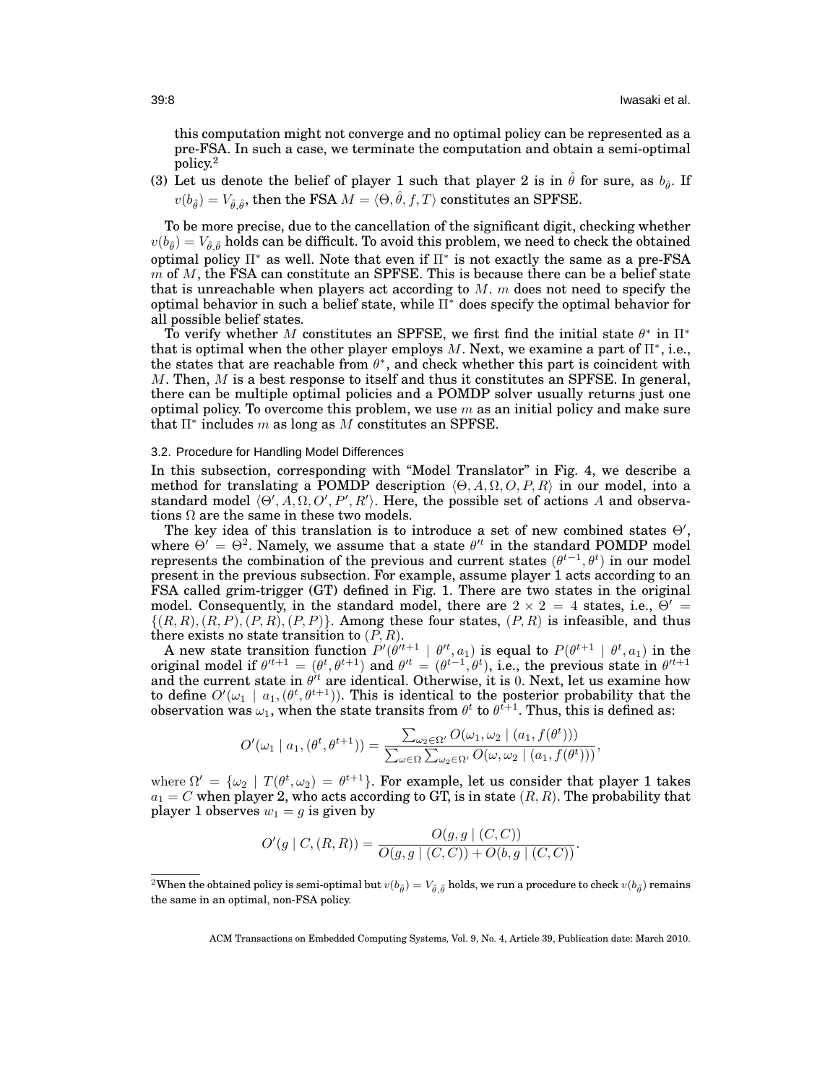this computation might not converge and no optimal policy can be represented as a pre-FSA. In such a case, we terminate the computation and obtain a semi-optimal policy.<sup>2</sup>

(3) Let us denote the belief of player 1 such that player 2 is in  $\hat{\theta}$  for sure, as  $b_{\hat{\theta}}$ . If  $v(b_{\hat{\theta}}) = V_{\hat{\theta}, \hat{\theta}}, \text{ then the FSA } M = \langle \Theta, \hat{\theta}, f, T \rangle \text{ constitutes an SPFSE.}$ 

To be more precise, due to the cancellation of the significant digit, checking whether  $v(b_{\hat{\theta}}) = V_{\hat{\theta},\hat{\theta}}$  holds can be difficult. To avoid this problem, we need to check the obtained optimal policy Π*<sup>∗</sup>* as well. Note that even if Π*<sup>∗</sup>* is not exactly the same as a pre-FSA *m* of *M*, the FSA can constitute an SPFSE. This is because there can be a belief state that is unreachable when players act according to *M*. *m* does not need to specify the optimal behavior in such a belief state, while Π*<sup>∗</sup>* does specify the optimal behavior for all possible belief states.

To verify whether *M* constitutes an SPFSE, we first find the initial state *θ ∗* in Π*<sup>∗</sup>* that is optimal when the other player employs *M*. Next, we examine a part of Π*<sup>∗</sup>* , i.e., the states that are reachable from  $\theta^*$ , and check whether this part is coincident with *M*. Then, *M* is a best response to itself and thus it constitutes an SPFSE. In general, there can be multiple optimal policies and a POMDP solver usually returns just one optimal policy. To overcome this problem, we use *m* as an initial policy and make sure that Π*<sup>∗</sup>* includes *m* as long as *M* constitutes an SPFSE.

## 3.2. Procedure for Handling Model Differences

In this subsection, corresponding with "Model Translator" in Fig. 4, we describe a method for translating a POMDP description *⟨*Θ*, A,* Ω*, O, P, R⟩* in our model, into a standard model  $\langle \Theta', A, \Omega, O', P', R' \rangle$ . Here, the possible set of actions A and observations  $\Omega$  are the same in these two models.

The key idea of this translation is to introduce a set of new combined states Θ*′* , where  $\Theta' = \Theta^2$ . Namely, we assume that a state  $\theta'^t$  in the standard POMDP model represents the combination of the previous and current states  $(\theta^{t-1}, \theta^t)$  in our model present in the previous subsection. For example, assume player 1 acts according to an FSA called grim-trigger (GT) defined in Fig. 1. There are two states in the original model. Consequently, in the standard model, there are  $2 \times 2 = 4$  states, i.e.,  $\Theta' =$  $\{(R, R), (R, P), (P, R), (P, P)\}.$  Among these four states,  $(P, R)$  is infeasible, and thus there exists no state transition to (*P, R*).

A new state transition function  $P'(\theta'^{t+1} | \theta'^{t}, a_1)$  is equal to  $P(\theta^{t+1} | \theta^{t}, a_1)$  in the original model if  $\theta'^{t+1} = (\theta^t, \theta^{t+1})$  and  $\theta'^t = (\theta^{t-1}, \theta^t)$ , i.e., the previous state in  $\theta'^{t+1}$ and the current state in  $\theta$ <sup>*t*</sup> are identical. Otherwise, it is 0. Next, let us examine how to define  $O'(\omega_1 \mid a_1, (\theta^t, \theta^{t+1}))$ . This is identical to the posterior probability that the observation was  $\omega_1$ , when the state transits from  $\theta^t$  to  $\theta^{t+1}$ . Thus, this is defined as:

$$
O'(\omega_1 \mid a_1, (\theta^t, \theta^{t+1})) = \frac{\sum_{\omega_2 \in \Omega'} O(\omega_1, \omega_2 \mid (a_1, f(\theta^t)))}{\sum_{\omega \in \Omega} \sum_{\omega_2 \in \Omega'} O(\omega, \omega_2 \mid (a_1, f(\theta^t)))},
$$

where  $\Omega' = {\omega_2 | T(\theta^t, \omega_2) = \theta^{t+1}}$ . For example, let us consider that player 1 takes  $a_1 = C$  when player 2, who acts according to GT, is in state  $(R, R)$ . The probability that player 1 observes  $w_1 = g$  is given by

$$
O'(g | C, (R, R)) = \frac{O(g, g | (C, C))}{O(g, g | (C, C)) + O(b, g | (C, C))}.
$$

 $^2$ When the obtained policy is semi-optimal but  $v(b_{\hat\theta})=V_{\hat\theta,\hat\theta}$  holds, we run a procedure to check  $v(b_{\hat\theta})$  remains the same in an optimal, non-FSA policy.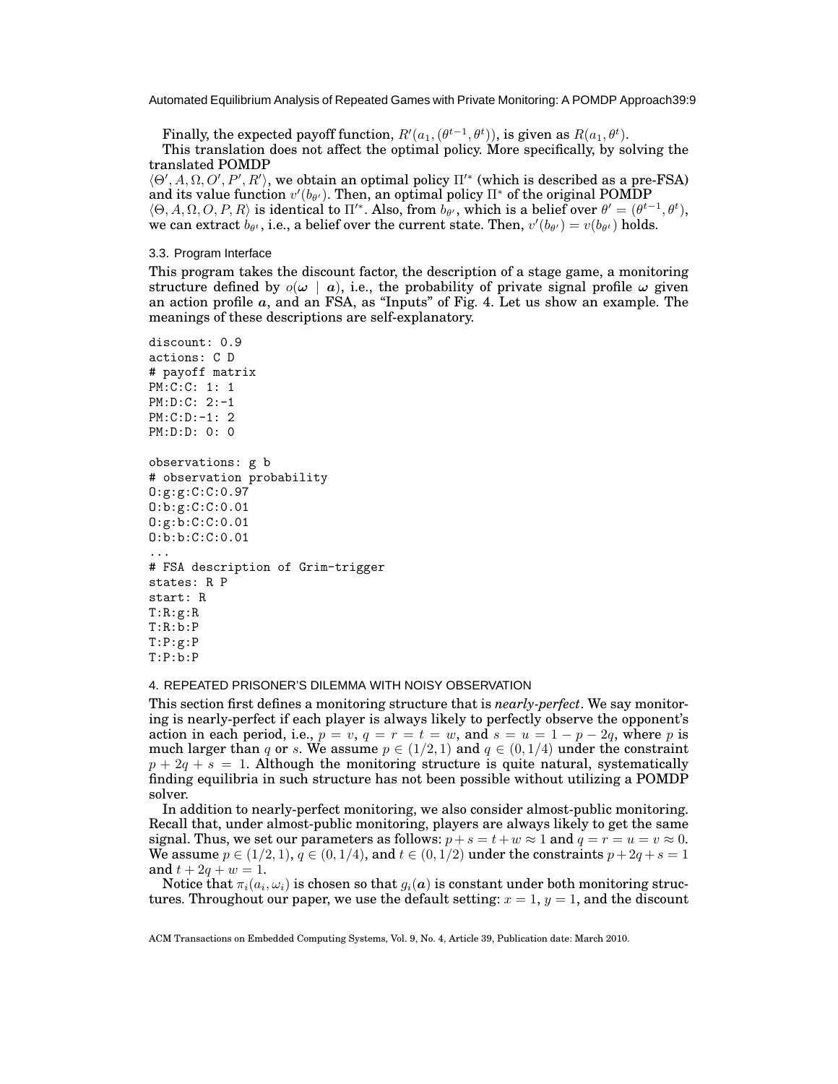Finally, the expected payoff function,  $R'(a_1, (\theta^{t-1}, \theta^{t})),$  is given as  $R(a_1, \theta^{t}).$ 

This translation does not affect the optimal policy. More specifically, by solving the translated POMDP

 $\langle \Theta', A, \Omega, O', P', R' \rangle$ , we obtain an optimal policy  $\Pi'^*$  (which is described as a pre-FSA) and its value function  $v'(b_{\theta'})$ . Then, an optimal policy  $\Pi^*$  of the original POMDP  $\langle \Theta, A, \Omega, O, P, R \rangle$  is identical to  $\Pi'$ <sup>\*</sup>. Also, from  $b_{\theta'}$ , which is a belief over  $\theta' = (\theta^{t-1}, \theta^t)$ , we can extract  $b_{\theta^t}$ , i.e., a belief over the current state. Then,  $v'(b_{\theta'}) = v(b_{\theta^t})$  holds.

## 3.3. Program Interface

This program takes the discount factor, the description of a stage game, a monitoring structure defined by  $o(\omega \mid a)$ , i.e., the probability of private signal profile  $\omega$  given an action profile *a*, and an FSA, as "Inputs" of Fig. 4. Let us show an example. The meanings of these descriptions are self-explanatory.

```
discount: 0.9
actions: C D
# payoff matrix
PM:C:C: 1: 1
PM:D:C: 2:-1
PM:C:D:-1: 2
PM:D:D: 0: 0
observations: g b
# observation probability
O:g:g:C:C:0.97
O:b:g:C:C:0.01
O:g:b:C:C:0.01
O:b:b:C:C:0.01
...
# FSA description of Grim-trigger
states: R P
start: R
T:R:g:R
T:R:b:P
T:P:g:P
T:P:b:P
```
### 4. REPEATED PRISONER'S DILEMMA WITH NOISY OBSERVATION

This section first defines a monitoring structure that is *nearly-perfect*. We say monitoring is nearly-perfect if each player is always likely to perfectly observe the opponent's action in each period, i.e.,  $p = v$ ,  $q = r = t = w$ , and  $s = u = 1 - p - 2q$ , where p is much larger than *q* or *s*. We assume  $p \in (1/2, 1)$  and  $q \in (0, 1/4)$  under the constraint  $p + 2q + s = 1$ . Although the monitoring structure is quite natural, systematically finding equilibria in such structure has not been possible without utilizing a POMDP solver.

In addition to nearly-perfect monitoring, we also consider almost-public monitoring. Recall that, under almost-public monitoring, players are always likely to get the same signal. Thus, we set our parameters as follows:  $p + s = t + w \approx 1$  and  $q = r = u = v \approx 0$ . We assume  $p \in (1/2, 1), q \in (0, 1/4)$ , and  $t \in (0, 1/2)$  under the constraints  $p + 2q + s = 1$ and  $t + 2q + w = 1$ .

Notice that  $\pi_i(a_i,\omega_i)$  is chosen so that  $g_i(\bm{a})$  is constant under both monitoring structures. Throughout our paper, we use the default setting:  $x = 1$ ,  $y = 1$ , and the discount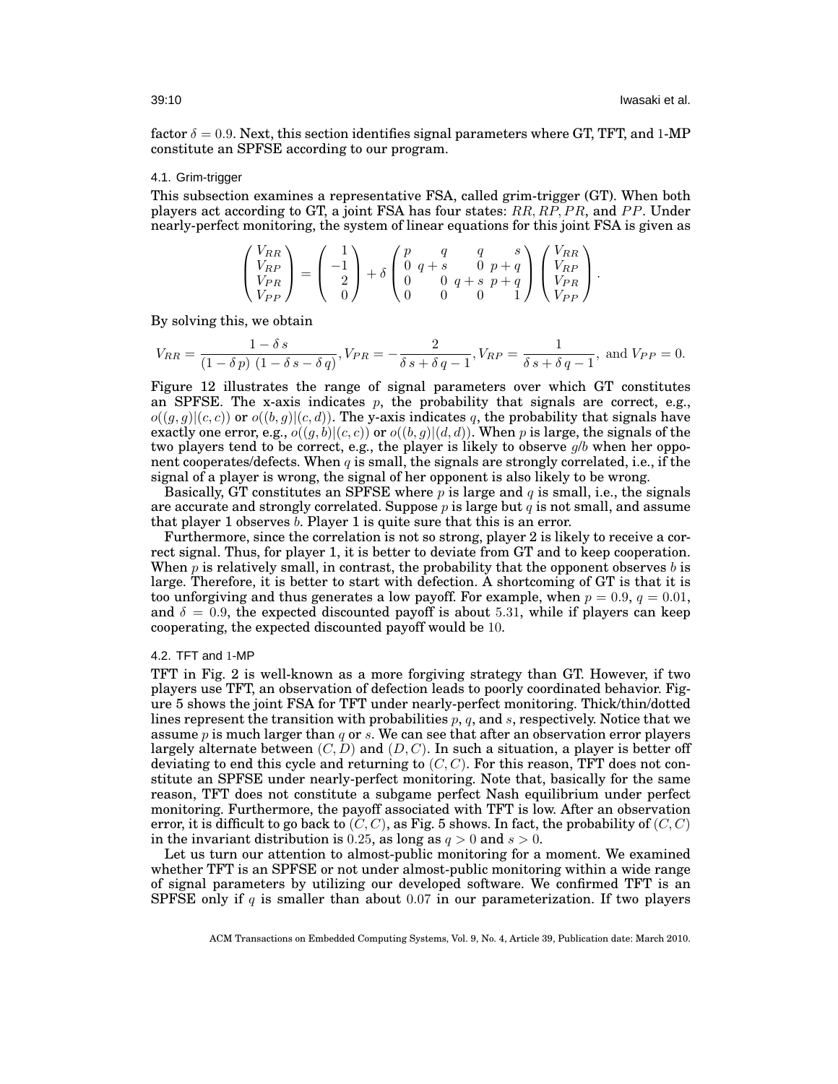factor  $\delta = 0.9$ . Next, this section identifies signal parameters where GT, TFT, and 1-MP constitute an SPFSE according to our program.

#### 4.1. Grim-trigger

This subsection examines a representative FSA, called grim-trigger (GT). When both players act according to GT, a joint FSA has four states: *RR, RP, P R*, and *P P*. Under nearly-perfect monitoring, the system of linear equations for this joint FSA is given as

$$
\begin{pmatrix} V_{RR} \\ V_{RP} \\ V_{PR} \\ V_{PP} \end{pmatrix} = \begin{pmatrix} 1 \\ -1 \\ 2 \\ 0 \end{pmatrix} + \delta \begin{pmatrix} p & q & q & s \\ 0 & q+s & 0 & p+q \\ 0 & 0 & q+s & p+q \\ 0 & 0 & 0 & 1 \end{pmatrix} \begin{pmatrix} V_{RR} \\ V_{RP} \\ V_{PR} \\ V_{PP} \end{pmatrix}.
$$

By solving this, we obtain

$$
V_{RR} = \frac{1 - \delta s}{(1 - \delta p) (1 - \delta s - \delta q)}, V_{PR} = -\frac{2}{\delta s + \delta q - 1}, V_{RP} = \frac{1}{\delta s + \delta q - 1}, \text{ and } V_{PP} = 0.
$$

Figure 12 illustrates the range of signal parameters over which GT constitutes an SPFSE. The x-axis indicates  $p$ , the probability that signals are correct, e.g.,  $o((g,g)|(c,c))$  or  $o((b,g)|(c,d))$ . The y-axis indicates q, the probability that signals have exactly one error, e.g.,  $o((q, b)|(c, c))$  or  $o((b, q)|(d, d))$ . When p is large, the signals of the two players tend to be correct, e.g., the player is likely to observe *g*/*b* when her opponent cooperates/defects. When  $q$  is small, the signals are strongly correlated, i.e., if the signal of a player is wrong, the signal of her opponent is also likely to be wrong.

Basically, GT constitutes an SPFSE where *p* is large and *q* is small, i.e., the signals are accurate and strongly correlated. Suppose *p* is large but *q* is not small, and assume that player 1 observes *b*. Player 1 is quite sure that this is an error.

Furthermore, since the correlation is not so strong, player 2 is likely to receive a correct signal. Thus, for player 1, it is better to deviate from GT and to keep cooperation. When *p* is relatively small, in contrast, the probability that the opponent observes *b* is large. Therefore, it is better to start with defection. A shortcoming of GT is that it is too unforgiving and thus generates a low payoff. For example, when  $p = 0.9$ ,  $q = 0.01$ , and  $\delta = 0.9$ , the expected discounted payoff is about 5.31, while if players can keep cooperating, the expected discounted payoff would be 10.

# 4.2. TFT and 1-MP

TFT in Fig. 2 is well-known as a more forgiving strategy than GT. However, if two players use TFT, an observation of defection leads to poorly coordinated behavior. Figure 5 shows the joint FSA for TFT under nearly-perfect monitoring. Thick/thin/dotted lines represent the transition with probabilities *p*, *q*, and *s*, respectively. Notice that we assume *p* is much larger than *q* or *s*. We can see that after an observation error players largely alternate between  $(C, D)$  and  $(D, C)$ . In such a situation, a player is better off deviating to end this cycle and returning to (*C, C*). For this reason, TFT does not constitute an SPFSE under nearly-perfect monitoring. Note that, basically for the same reason, TFT does not constitute a subgame perfect Nash equilibrium under perfect monitoring. Furthermore, the payoff associated with TFT is low. After an observation error, it is difficult to go back to  $(C, C)$ , as Fig. 5 shows. In fact, the probability of  $(C, C)$ in the invariant distribution is 0.25, as long as  $q > 0$  and  $s > 0$ .

Let us turn our attention to almost-public monitoring for a moment. We examined whether TFT is an SPFSE or not under almost-public monitoring within a wide range of signal parameters by utilizing our developed software. We confirmed TFT is an SPFSE only if *q* is smaller than about 0*.*07 in our parameterization. If two players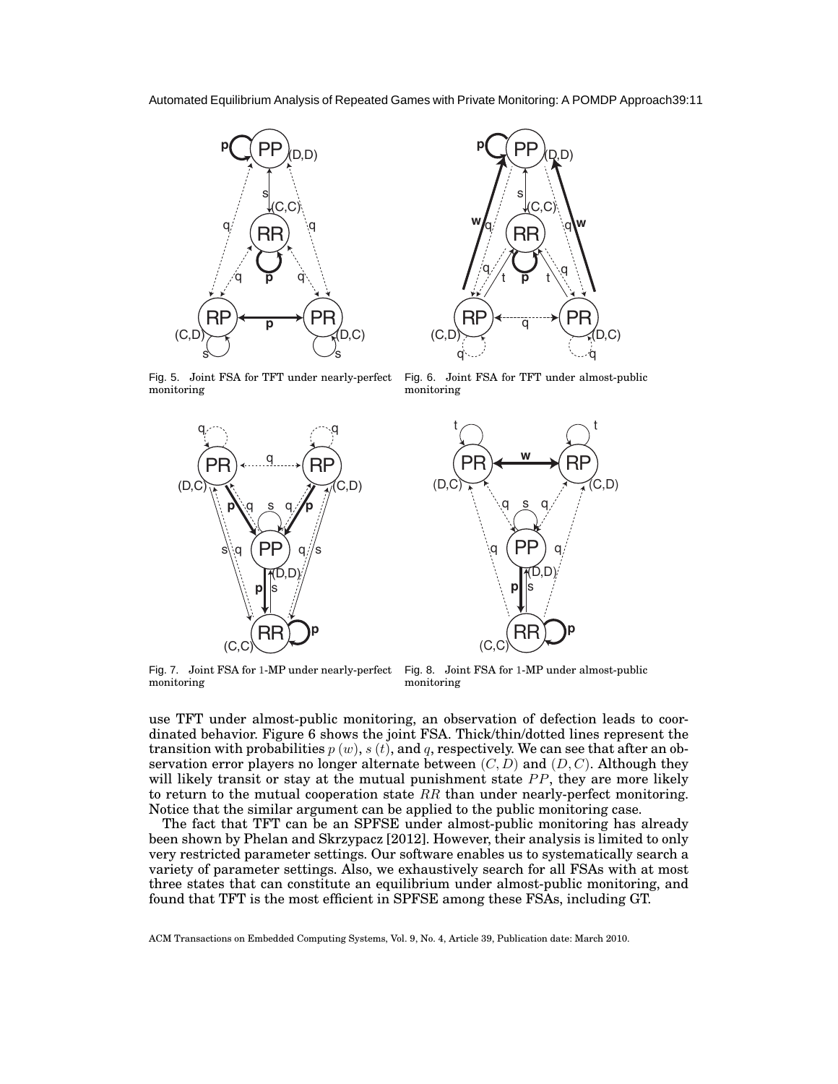

RR)  $RP$   $\longleftrightarrow$   $PR$   $\rightarrow$ s q **w** q  $\frac{1}{t}$   $\frac{1}{t}$  q  $w_{\mathsf{q}}$  $\overline{a}$ **p**  $\Omega$ q  $(C, C)$  $(C,D)$   $\qquad \qquad \qquad$   $(D,C)$ 

PP

(D,D)

**p**

Fig. 5. Joint FSA for TFT under nearly-perfect monitoring

Fig. 6. Joint FSA for TFT under almost-public monitoring

t



Fig. 7. Joint FSA for 1-MP under nearly-perfect monitoring

Fig. 8. Joint FSA for 1-MP under almost-public monitoring

 $RR$ ূ

(D,D)

p

PP

s

w

use TFT under almost-public monitoring, an observation of defection leads to coordinated behavior. Figure 6 shows the joint FSA. Thick/thin/dotted lines represent the transition with probabilities  $p(w)$ ,  $s(t)$ , and  $q$ , respectively. We can see that after an observation error players no longer alternate between  $(C, D)$  and  $(D, C)$ . Although they will likely transit or stay at the mutual punishment state *PP*, they are more likely to return to the mutual cooperation state *RR* than under nearly-perfect monitoring. Notice that the similar argument can be applied to the public monitoring case.

The fact that TFT can be an SPFSE under almost-public monitoring has already been shown by Phelan and Skrzypacz [2012]. However, their analysis is limited to only very restricted parameter settings. Our software enables us to systematically search a variety of parameter settings. Also, we exhaustively search for all FSAs with at most three states that can constitute an equilibrium under almost-public monitoring, and found that TFT is the most efficient in SPFSE among these FSAs, including GT.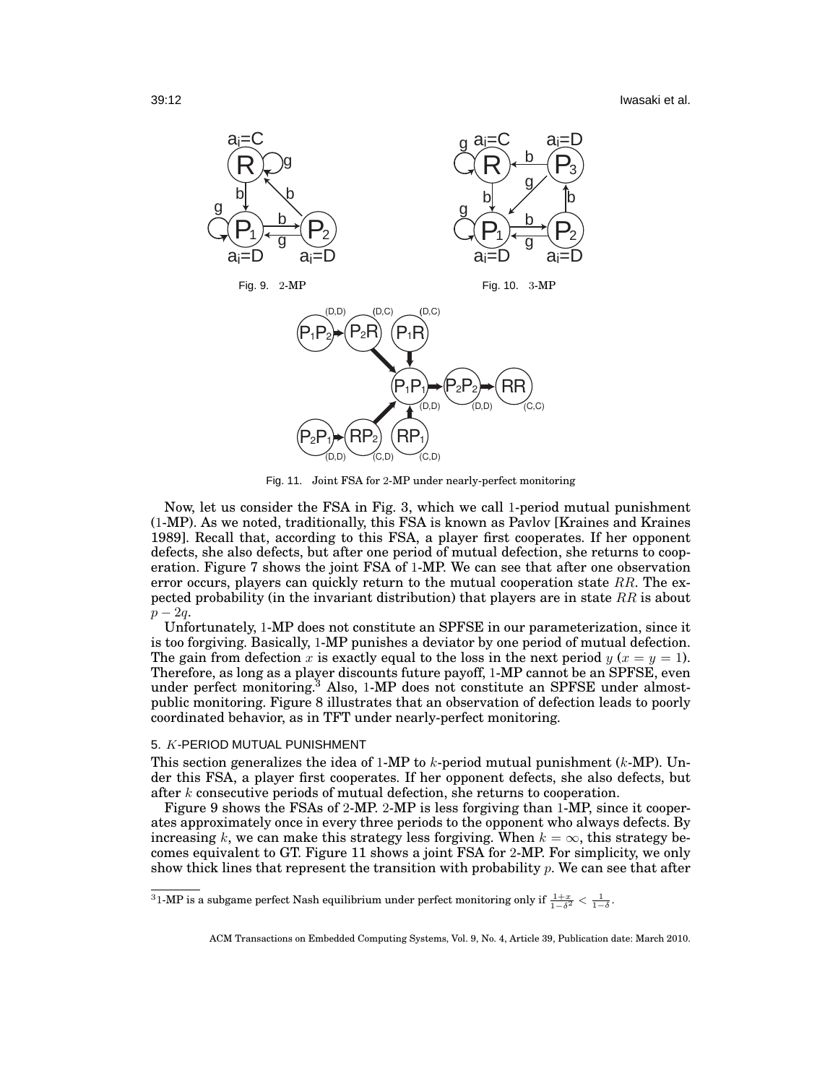

Fig. 11. Joint FSA for 2-MP under nearly-perfect monitoring

Now, let us consider the FSA in Fig. 3, which we call 1-period mutual punishment (1-MP). As we noted, traditionally, this FSA is known as Pavlov [Kraines and Kraines 1989]. Recall that, according to this FSA, a player first cooperates. If her opponent defects, she also defects, but after one period of mutual defection, she returns to cooperation. Figure 7 shows the joint FSA of 1-MP. We can see that after one observation error occurs, players can quickly return to the mutual cooperation state *RR*. The expected probability (in the invariant distribution) that players are in state *RR* is about *p* − 2*q*.

Unfortunately, 1-MP does not constitute an SPFSE in our parameterization, since it is too forgiving. Basically, 1-MP punishes a deviator by one period of mutual defection. The gain from defection *x* is exactly equal to the loss in the next period  $y(x = y = 1)$ . Therefore, as long as a player discounts future payoff, 1-MP cannot be an SPFSE, even under perfect monitoring.<sup>3</sup> Also, 1-MP does not constitute an SPFSE under almostpublic monitoring. Figure 8 illustrates that an observation of defection leads to poorly coordinated behavior, as in TFT under nearly-perfect monitoring.

## 5. *K*-PERIOD MUTUAL PUNISHMENT

This section generalizes the idea of 1-MP to *k*-period mutual punishment (*k*-MP). Under this FSA, a player first cooperates. If her opponent defects, she also defects, but after *k* consecutive periods of mutual defection, she returns to cooperation.

Figure 9 shows the FSAs of 2-MP. 2-MP is less forgiving than 1-MP, since it cooperates approximately once in every three periods to the opponent who always defects. By increasing *k*, we can make this strategy less forgiving. When  $k = \infty$ , this strategy becomes equivalent to GT. Figure 11 shows a joint FSA for 2-MP. For simplicity, we only show thick lines that represent the transition with probability *p*. We can see that after

 $31$ -MP is a subgame perfect Nash equilibrium under perfect monitoring only if  $\frac{1+x}{1-\delta^2} < \frac{1}{1-\delta}$ .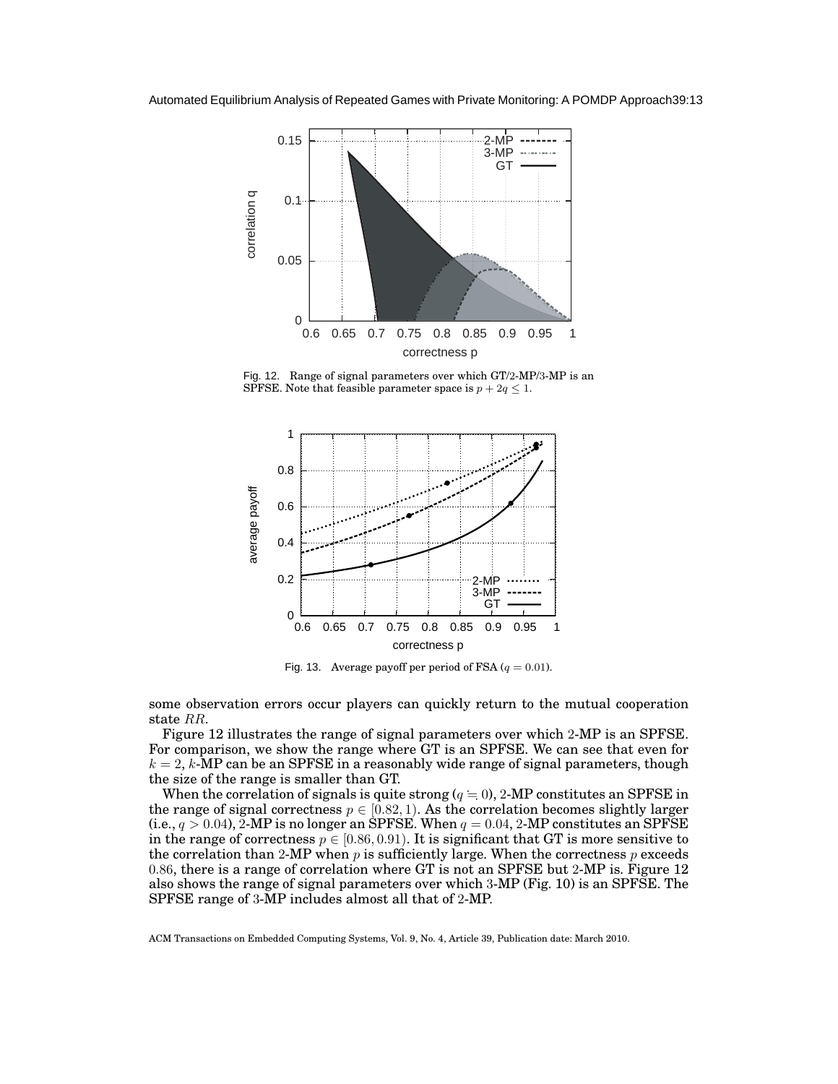

Fig. 12. Range of signal parameters over which GT/2-MP/3-MP is an SPFSE. Note that feasible parameter space is  $p + 2q \leq 1$ .



Fig. 13. Average payoff per period of FSA ( $q = 0.01$ ).

some observation errors occur players can quickly return to the mutual cooperation state *RR*.

Figure 12 illustrates the range of signal parameters over which 2-MP is an SPFSE. For comparison, we show the range where GT is an SPFSE. We can see that even for  $k = 2$ ,  $k$ -MP can be an SPFSE in a reasonably wide range of signal parameters, though the size of the range is smaller than GT.

When the correlation of signals is quite strong  $(q = 0)$ , 2-MP constitutes an SPFSE in the range of signal correctness  $p \in [0.82, 1)$ . As the correlation becomes slightly larger (i.e.,  $q > 0.04$ ), 2-MP is no longer an SPFSE. When  $q = 0.04$ , 2-MP constitutes an SPFSE in the range of correctness  $p \in [0.86, 0.91)$ . It is significant that GT is more sensitive to the correlation than 2-MP when  $p$  is sufficiently large. When the correctness  $p$  exceeds 0*.*86, there is a range of correlation where GT is not an SPFSE but 2-MP is. Figure 12 also shows the range of signal parameters over which 3-MP (Fig. 10) is an SPFSE. The SPFSE range of 3-MP includes almost all that of 2-MP.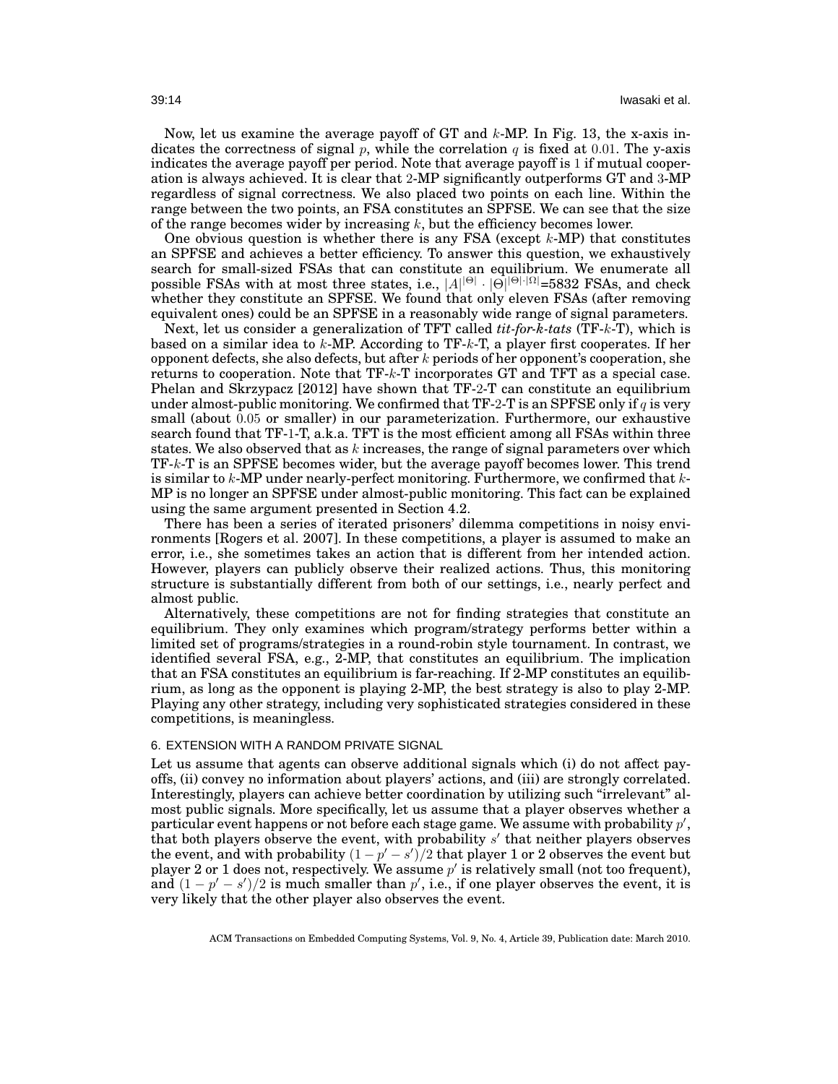Now, let us examine the average payoff of GT and *k*-MP. In Fig. 13, the x-axis indicates the correctness of signal  $p$ , while the correlation  $q$  is fixed at 0.01. The y-axis indicates the average payoff per period. Note that average payoff is 1 if mutual cooperation is always achieved. It is clear that 2-MP significantly outperforms GT and 3-MP regardless of signal correctness. We also placed two points on each line. Within the range between the two points, an FSA constitutes an SPFSE. We can see that the size of the range becomes wider by increasing *k*, but the efficiency becomes lower.

One obvious question is whether there is any FSA (except *k*-MP) that constitutes an SPFSE and achieves a better efficiency. To answer this question, we exhaustively search for small-sized FSAs that can constitute an equilibrium. We enumerate all possible FSAs with at most three states, i.e., *|A| |*Θ*| · |*Θ*| <sup>|</sup>*Θ*|·|*Ω*|*=5832 FSAs, and check whether they constitute an SPFSE. We found that only eleven FSAs (after removing equivalent ones) could be an SPFSE in a reasonably wide range of signal parameters.

Next, let us consider a generalization of TFT called *tit-for-k-tats* (TF-*k*-T), which is based on a similar idea to *k*-MP. According to TF-*k*-T, a player first cooperates. If her opponent defects, she also defects, but after *k* periods of her opponent's cooperation, she returns to cooperation. Note that TF-*k*-T incorporates GT and TFT as a special case. Phelan and Skrzypacz [2012] have shown that TF-2-T can constitute an equilibrium under almost-public monitoring. We confirmed that TF-2-T is an SPFSE only if *q* is very small (about 0*.*05 or smaller) in our parameterization. Furthermore, our exhaustive search found that TF-1-T, a.k.a. TFT is the most efficient among all FSAs within three states. We also observed that as *k* increases, the range of signal parameters over which TF-*k*-T is an SPFSE becomes wider, but the average payoff becomes lower. This trend is similar to *k*-MP under nearly-perfect monitoring. Furthermore, we confirmed that *k*-MP is no longer an SPFSE under almost-public monitoring. This fact can be explained using the same argument presented in Section 4.2.

There has been a series of iterated prisoners' dilemma competitions in noisy environments [Rogers et al. 2007]. In these competitions, a player is assumed to make an error, i.e., she sometimes takes an action that is different from her intended action. However, players can publicly observe their realized actions. Thus, this monitoring structure is substantially different from both of our settings, i.e., nearly perfect and almost public.

Alternatively, these competitions are not for finding strategies that constitute an equilibrium. They only examines which program/strategy performs better within a limited set of programs/strategies in a round-robin style tournament. In contrast, we identified several FSA, e.g., 2-MP, that constitutes an equilibrium. The implication that an FSA constitutes an equilibrium is far-reaching. If 2-MP constitutes an equilibrium, as long as the opponent is playing 2-MP, the best strategy is also to play 2-MP. Playing any other strategy, including very sophisticated strategies considered in these competitions, is meaningless.

# 6. EXTENSION WITH A RANDOM PRIVATE SIGNAL

Let us assume that agents can observe additional signals which (i) do not affect payoffs, (ii) convey no information about players' actions, and (iii) are strongly correlated. Interestingly, players can achieve better coordination by utilizing such "irrelevant" almost public signals. More specifically, let us assume that a player observes whether a particular event happens or not before each stage game. We assume with probability *p ′* , that both players observe the event, with probability *s ′* that neither players observes the event, and with probability  $(1-p'-s')/2$  that player 1 or 2 observes the event but player 2 or 1 does not, respectively. We assume *p ′* is relatively small (not too frequent), and  $(1 - p' - s')/2$  is much smaller than  $p'$ , i.e., if one player observes the event, it is very likely that the other player also observes the event.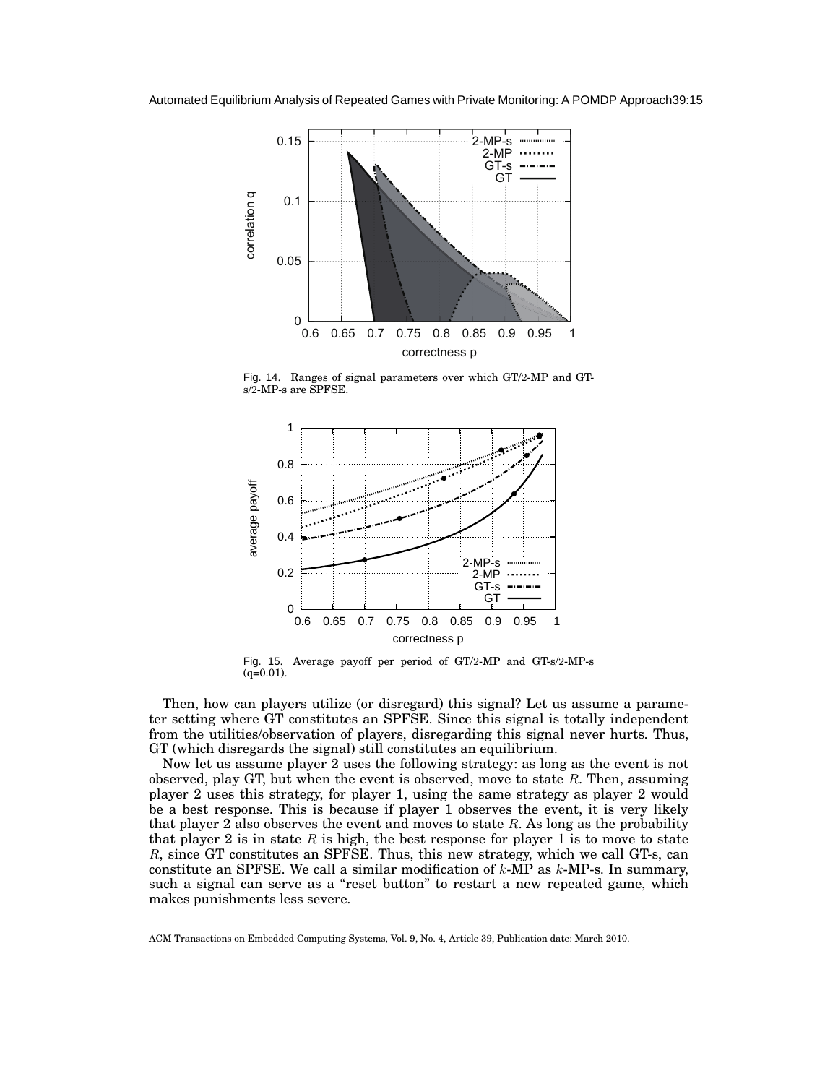

Fig. 14. Ranges of signal parameters over which GT/2-MP and GTs/2-MP-s are SPFSE.



Fig. 15. Average payoff per period of GT/2-MP and GT-s/2-MP-s (q=0.01).

Then, how can players utilize (or disregard) this signal? Let us assume a parameter setting where GT constitutes an SPFSE. Since this signal is totally independent from the utilities/observation of players, disregarding this signal never hurts. Thus, GT (which disregards the signal) still constitutes an equilibrium.

Now let us assume player 2 uses the following strategy: as long as the event is not observed, play GT, but when the event is observed, move to state *R*. Then, assuming player 2 uses this strategy, for player 1, using the same strategy as player 2 would be a best response. This is because if player 1 observes the event, it is very likely that player 2 also observes the event and moves to state *R*. As long as the probability that player 2 is in state  $R$  is high, the best response for player 1 is to move to state *R*, since GT constitutes an SPFSE. Thus, this new strategy, which we call GT-s, can constitute an SPFSE. We call a similar modification of *k*-MP as *k*-MP-s. In summary, such a signal can serve as a "reset button" to restart a new repeated game, which makes punishments less severe.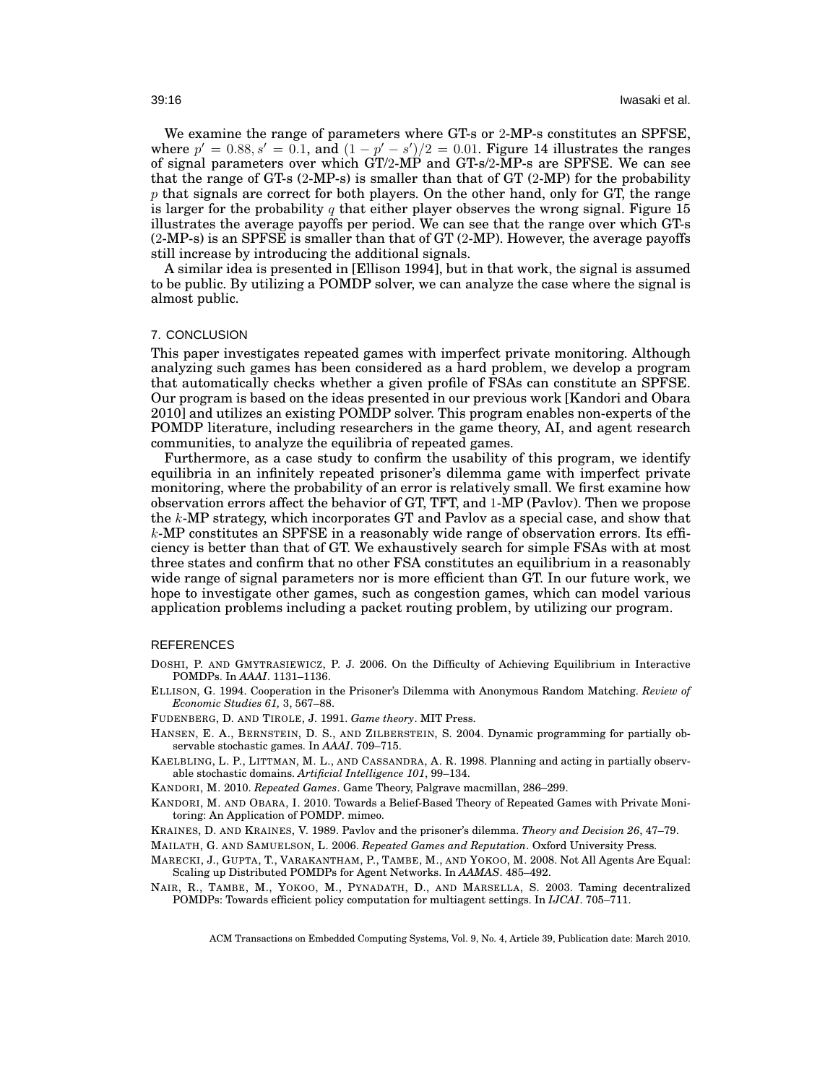We examine the range of parameters where GT-s or 2-MP-s constitutes an SPFSE, *where*  $p' = 0.88, s' = 0.1$ , and  $(1 − p' − s')/2 = 0.01$ . Figure 14 illustrates the ranges of signal parameters over which GT/2-MP and GT-s/2-MP-s are SPFSE. We can see that the range of GT-s  $(2-MP-s)$  is smaller than that of GT  $(2-MP)$  for the probability *p* that signals are correct for both players. On the other hand, only for GT, the range is larger for the probability *q* that either player observes the wrong signal. Figure 15 illustrates the average payoffs per period. We can see that the range over which GT-s (2-MP-s) is an SPFSE is smaller than that of GT (2-MP). However, the average payoffs still increase by introducing the additional signals.

A similar idea is presented in [Ellison 1994], but in that work, the signal is assumed to be public. By utilizing a POMDP solver, we can analyze the case where the signal is almost public.

#### 7. CONCLUSION

This paper investigates repeated games with imperfect private monitoring. Although analyzing such games has been considered as a hard problem, we develop a program that automatically checks whether a given profile of FSAs can constitute an SPFSE. Our program is based on the ideas presented in our previous work [Kandori and Obara 2010] and utilizes an existing POMDP solver. This program enables non-experts of the POMDP literature, including researchers in the game theory, AI, and agent research communities, to analyze the equilibria of repeated games.

Furthermore, as a case study to confirm the usability of this program, we identify equilibria in an infinitely repeated prisoner's dilemma game with imperfect private monitoring, where the probability of an error is relatively small. We first examine how observation errors affect the behavior of GT, TFT, and 1-MP (Pavlov). Then we propose the *k*-MP strategy, which incorporates GT and Pavlov as a special case, and show that *k*-MP constitutes an SPFSE in a reasonably wide range of observation errors. Its efficiency is better than that of GT. We exhaustively search for simple FSAs with at most three states and confirm that no other FSA constitutes an equilibrium in a reasonably wide range of signal parameters nor is more efficient than GT. In our future work, we hope to investigate other games, such as congestion games, which can model various application problems including a packet routing problem, by utilizing our program.

#### REFERENCES

- DOSHI, P. AND GMYTRASIEWICZ, P. J. 2006. On the Difficulty of Achieving Equilibrium in Interactive POMDPs. In *AAAI*. 1131–1136.
- ELLISON, G. 1994. Cooperation in the Prisoner's Dilemma with Anonymous Random Matching. *Review of Economic Studies 61,* 3, 567–88.
- FUDENBERG, D. AND TIROLE, J. 1991. *Game theory*. MIT Press.
- HANSEN, E. A., BERNSTEIN, D. S., AND ZILBERSTEIN, S. 2004. Dynamic programming for partially observable stochastic games. In *AAAI*. 709–715.
- KAELBLING, L. P., LITTMAN, M. L., AND CASSANDRA, A. R. 1998. Planning and acting in partially observable stochastic domains. *Artificial Intelligence 101*, 99–134.
- KANDORI, M. 2010. *Repeated Games*. Game Theory, Palgrave macmillan, 286–299.
- KANDORI, M. AND OBARA, I. 2010. Towards a Belief-Based Theory of Repeated Games with Private Monitoring: An Application of POMDP. mimeo.
- KRAINES, D. AND KRAINES, V. 1989. Pavlov and the prisoner's dilemma. *Theory and Decision 26*, 47–79.
- MAILATH, G. AND SAMUELSON, L. 2006. *Repeated Games and Reputation*. Oxford University Press.
- MARECKI, J., GUPTA, T., VARAKANTHAM, P., TAMBE, M., AND YOKOO, M. 2008. Not All Agents Are Equal: Scaling up Distributed POMDPs for Agent Networks. In *AAMAS*. 485–492.
- NAIR, R., TAMBE, M., YOKOO, M., PYNADATH, D., AND MARSELLA, S. 2003. Taming decentralized POMDPs: Towards efficient policy computation for multiagent settings. In *IJCAI*. 705–711.